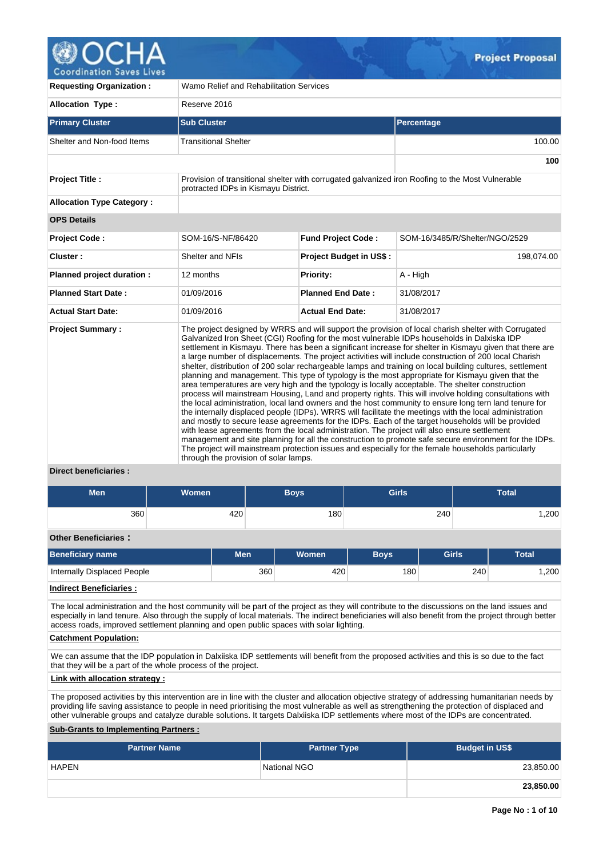

| <b>Requesting Organization:</b>                 | Wamo Relief and Rehabilitation Services                                                                                               |                                |                                                                                                                                                                                                                                                                                                                                                                                                                                                                                                                                                                                                                                                                                                                                                                                                                                                                                                                                                                                                                                                                                                                                                                                                                                                                                                                                                                                                        |  |  |  |  |  |  |
|-------------------------------------------------|---------------------------------------------------------------------------------------------------------------------------------------|--------------------------------|--------------------------------------------------------------------------------------------------------------------------------------------------------------------------------------------------------------------------------------------------------------------------------------------------------------------------------------------------------------------------------------------------------------------------------------------------------------------------------------------------------------------------------------------------------------------------------------------------------------------------------------------------------------------------------------------------------------------------------------------------------------------------------------------------------------------------------------------------------------------------------------------------------------------------------------------------------------------------------------------------------------------------------------------------------------------------------------------------------------------------------------------------------------------------------------------------------------------------------------------------------------------------------------------------------------------------------------------------------------------------------------------------------|--|--|--|--|--|--|
| <b>Allocation Type:</b>                         | Reserve 2016                                                                                                                          |                                |                                                                                                                                                                                                                                                                                                                                                                                                                                                                                                                                                                                                                                                                                                                                                                                                                                                                                                                                                                                                                                                                                                                                                                                                                                                                                                                                                                                                        |  |  |  |  |  |  |
| <b>Primary Cluster</b>                          | <b>Sub Cluster</b>                                                                                                                    |                                | Percentage                                                                                                                                                                                                                                                                                                                                                                                                                                                                                                                                                                                                                                                                                                                                                                                                                                                                                                                                                                                                                                                                                                                                                                                                                                                                                                                                                                                             |  |  |  |  |  |  |
| Shelter and Non-food Items                      | <b>Transitional Shelter</b>                                                                                                           |                                | 100.00                                                                                                                                                                                                                                                                                                                                                                                                                                                                                                                                                                                                                                                                                                                                                                                                                                                                                                                                                                                                                                                                                                                                                                                                                                                                                                                                                                                                 |  |  |  |  |  |  |
|                                                 |                                                                                                                                       |                                | 100                                                                                                                                                                                                                                                                                                                                                                                                                                                                                                                                                                                                                                                                                                                                                                                                                                                                                                                                                                                                                                                                                                                                                                                                                                                                                                                                                                                                    |  |  |  |  |  |  |
| <b>Project Title:</b>                           | protracted IDPs in Kismayu District.                                                                                                  |                                | Provision of transitional shelter with corrugated galvanized iron Roofing to the Most Vulnerable                                                                                                                                                                                                                                                                                                                                                                                                                                                                                                                                                                                                                                                                                                                                                                                                                                                                                                                                                                                                                                                                                                                                                                                                                                                                                                       |  |  |  |  |  |  |
| <b>Allocation Type Category:</b>                |                                                                                                                                       |                                |                                                                                                                                                                                                                                                                                                                                                                                                                                                                                                                                                                                                                                                                                                                                                                                                                                                                                                                                                                                                                                                                                                                                                                                                                                                                                                                                                                                                        |  |  |  |  |  |  |
| <b>OPS Details</b>                              |                                                                                                                                       |                                |                                                                                                                                                                                                                                                                                                                                                                                                                                                                                                                                                                                                                                                                                                                                                                                                                                                                                                                                                                                                                                                                                                                                                                                                                                                                                                                                                                                                        |  |  |  |  |  |  |
| <b>Project Code:</b>                            | SOM-16/S-NF/86420                                                                                                                     | <b>Fund Project Code:</b>      | SOM-16/3485/R/Shelter/NGO/2529                                                                                                                                                                                                                                                                                                                                                                                                                                                                                                                                                                                                                                                                                                                                                                                                                                                                                                                                                                                                                                                                                                                                                                                                                                                                                                                                                                         |  |  |  |  |  |  |
| Cluster:                                        | Shelter and NFIs                                                                                                                      | <b>Project Budget in US\$:</b> | 198,074.00                                                                                                                                                                                                                                                                                                                                                                                                                                                                                                                                                                                                                                                                                                                                                                                                                                                                                                                                                                                                                                                                                                                                                                                                                                                                                                                                                                                             |  |  |  |  |  |  |
| Planned project duration :                      | 12 months                                                                                                                             | <b>Priority:</b>               | A - High                                                                                                                                                                                                                                                                                                                                                                                                                                                                                                                                                                                                                                                                                                                                                                                                                                                                                                                                                                                                                                                                                                                                                                                                                                                                                                                                                                                               |  |  |  |  |  |  |
| <b>Planned Start Date:</b>                      | 01/09/2016                                                                                                                            | <b>Planned End Date:</b>       | 31/08/2017                                                                                                                                                                                                                                                                                                                                                                                                                                                                                                                                                                                                                                                                                                                                                                                                                                                                                                                                                                                                                                                                                                                                                                                                                                                                                                                                                                                             |  |  |  |  |  |  |
| <b>Actual Start Date:</b>                       | 01/09/2016                                                                                                                            | <b>Actual End Date:</b>        | 31/08/2017                                                                                                                                                                                                                                                                                                                                                                                                                                                                                                                                                                                                                                                                                                                                                                                                                                                                                                                                                                                                                                                                                                                                                                                                                                                                                                                                                                                             |  |  |  |  |  |  |
| <b>Project Summary:</b><br>Divant honoficiarion | with lease agreements from the local administration. The project will also ensure settlement<br>through the provision of solar lamps. |                                | The project designed by WRRS and will support the provision of local charish shelter with Corrugated<br>Galvanized Iron Sheet (CGI) Roofing for the most vulnerable IDPs households in Dalxiska IDP<br>settlement in Kismayu. There has been a significant increase for shelter in Kismayu given that there are<br>a large number of displacements. The project activities will include construction of 200 local Charish<br>shelter, distribution of 200 solar rechargeable lamps and training on local building cultures, settlement<br>planning and management. This type of typology is the most appropriate for Kismayu given that the<br>area temperatures are very high and the typology is locally acceptable. The shelter construction<br>process will mainstream Housing, Land and property rights. This will involve holding consultations with<br>the local administration, local land owners and the host community to ensure long tern land tenure for<br>the internally displaced people (IDPs). WRRS will facilitate the meetings with the local administration<br>and mostly to secure lease agreements for the IDPs. Each of the target households will be provided<br>management and site planning for all the construction to promote safe secure environment for the IDPs.<br>The project will mainstream protection issues and especially for the female households particularly |  |  |  |  |  |  |

### **Direct beneficiaries :**

| <b>Men</b><br><b>Women</b>     |  |            |     | <b>Boys</b>  | <b>Girls</b> |     | <b>Total</b> |              |  |
|--------------------------------|--|------------|-----|--------------|--------------|-----|--------------|--------------|--|
| 360                            |  | 420        |     | 180          |              | 240 |              | 1,200        |  |
| <b>Other Beneficiaries:</b>    |  |            |     |              |              |     |              |              |  |
| <b>Beneficiary name</b>        |  | <b>Men</b> |     | <b>Women</b> | <b>Boys</b>  |     | <b>Girls</b> | <b>Total</b> |  |
| Internally Displaced People    |  |            | 360 | 420          | 180          |     | 240          | 1,200        |  |
| <b>Indirect Beneficiaries:</b> |  |            |     |              |              |     |              |              |  |

The local administration and the host community will be part of the project as they will contribute to the discussions on the land issues and especially in land tenure. Also through the supply of local materials. The indirect beneficiaries will also benefit from the project through better access roads, improved settlement planning and open public spaces with solar lighting.

#### **Catchment Population:**

We can assume that the IDP population in Dalxiiska IDP settlements will benefit from the proposed activities and this is so due to the fact that they will be a part of the whole process of the project.

# **Link with allocation strategy :**

The proposed activities by this intervention are in line with the cluster and allocation objective strategy of addressing humanitarian needs by providing life saving assistance to people in need prioritising the most vulnerable as well as strengthening the protection of displaced and other vulnerable groups and catalyze durable solutions. It targets Dalxiiska IDP settlements where most of the IDPs are concentrated.

## **Sub-Grants to Implementing Partners :**

| <b>Partner Name</b> | <b>Partner Type</b> | <b>Budget in US\$</b> |
|---------------------|---------------------|-----------------------|
| <b>HAPEN</b>        | National NGO        | 23,850.00             |
|                     |                     | 23,850.00             |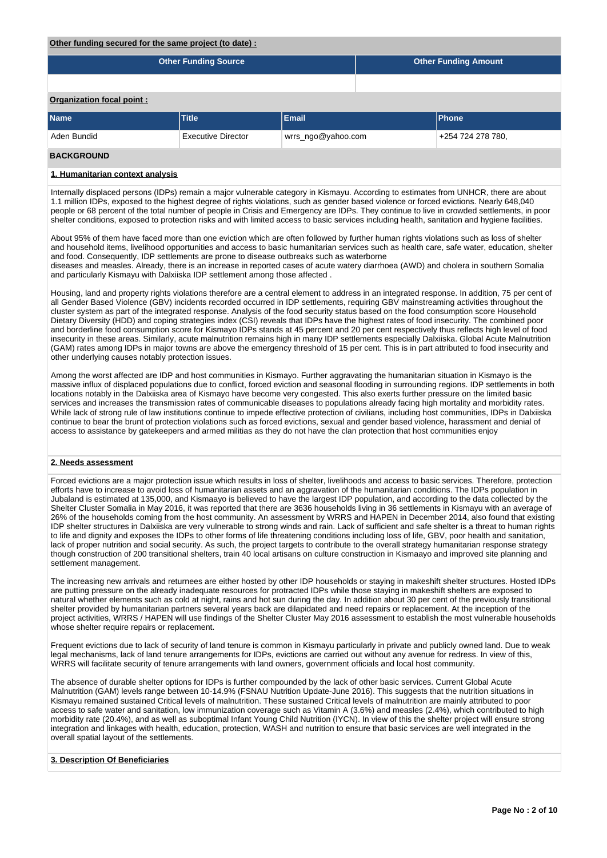#### **Other funding secured for the same project (to date) :**

|                           | <b>Other Funding Source</b> | <b>Other Funding Amount</b> |                   |              |  |  |  |  |  |  |
|---------------------------|-----------------------------|-----------------------------|-------------------|--------------|--|--|--|--|--|--|
|                           |                             |                             |                   |              |  |  |  |  |  |  |
| Organization focal point: |                             |                             |                   |              |  |  |  |  |  |  |
| <b>Name</b>               | <b>Title</b>                | Email                       |                   | <b>Phone</b> |  |  |  |  |  |  |
| Aden Bundid               | Executive Director          | wrrs_ngo@yahoo.com          | +254 724 278 780, |              |  |  |  |  |  |  |
| <b>BAAILABAILLE</b>       |                             |                             |                   |              |  |  |  |  |  |  |

#### **BACKGROUND**

### **1. Humanitarian context analysis**

Internally displaced persons (IDPs) remain a major vulnerable category in Kismayu. According to estimates from UNHCR, there are about 1.1 million IDPs, exposed to the highest degree of rights violations, such as gender based violence or forced evictions. Nearly 648,040 people or 68 percent of the total number of people in Crisis and Emergency are IDPs. They continue to live in crowded settlements, in poor shelter conditions, exposed to protection risks and with limited access to basic services including health, sanitation and hygiene facilities.

About 95% of them have faced more than one eviction which are often followed by further human rights violations such as loss of shelter and household items, livelihood opportunities and access to basic humanitarian services such as health care, safe water, education, shelter and food. Consequently, IDP settlements are prone to disease outbreaks such as waterborne

diseases and measles. Already, there is an increase in reported cases of acute watery diarrhoea (AWD) and cholera in southern Somalia and particularly Kismayu with Dalxiiska IDP settlement among those affected.

Housing, land and property rights violations therefore are a central element to address in an integrated response. In addition, 75 per cent of all Gender Based Violence (GBV) incidents recorded occurred in IDP settlements, requiring GBV mainstreaming activities throughout the cluster system as part of the integrated response. Analysis of the food security status based on the food consumption score Household Dietary Diversity (HDD) and coping strategies index (CSI) reveals that IDPs have the highest rates of food insecurity. The combined poor and borderline food consumption score for Kismayo IDPs stands at 45 percent and 20 per cent respectively thus reflects high level of food insecurity in these areas. Similarly, acute malnutrition remains high in many IDP settlements especially Dalxiiska. Global Acute Malnutrition (GAM) rates among IDPs in major towns are above the emergency threshold of 15 per cent. This is in part attributed to food insecurity and other underlying causes notably protection issues.

Among the worst affected are IDP and host communities in Kismayo. Further aggravating the humanitarian situation in Kismayo is the massive influx of displaced populations due to conflict, forced eviction and seasonal flooding in surrounding regions. IDP settlements in both locations notably in the Dalxiiska area of Kismayo have become very congested. This also exerts further pressure on the limited basic services and increases the transmission rates of communicable diseases to populations already facing high mortality and morbidity rates. While lack of strong rule of law institutions continue to impede effective protection of civilians, including host communities, IDPs in Dalxiiska continue to bear the brunt of protection violations such as forced evictions, sexual and gender based violence, harassment and denial of access to assistance by gatekeepers and armed militias as they do not have the clan protection that host communities enjoy

#### **2. Needs assessment**

Forced evictions are a major protection issue which results in loss of shelter, livelihoods and access to basic services. Therefore, protection efforts have to increase to avoid loss of humanitarian assets and an aggravation of the humanitarian conditions. The IDPs population in Jubaland is estimated at 135,000, and Kismaayo is believed to have the largest IDP population, and according to the data collected by the Shelter Cluster Somalia in May 2016, it was reported that there are 3636 households living in 36 settlements in Kismayu with an average of 26% of the households coming from the host community. An assessment by WRRS and HAPEN in December 2014, also found that existing IDP shelter structures in Dalxiiska are very vulnerable to strong winds and rain. Lack of sufficient and safe shelter is a threat to human rights to life and dignity and exposes the IDPs to other forms of life threatening conditions including loss of life, GBV, poor health and sanitation, lack of proper nutrition and social security. As such, the project targets to contribute to the overall strategy humanitarian response strategy though construction of 200 transitional shelters, train 40 local artisans on culture construction in Kismaayo and improved site planning and settlement management.

The increasing new arrivals and returnees are either hosted by other IDP households or staying in makeshift shelter structures. Hosted IDPs are putting pressure on the already inadequate resources for protracted IDPs while those staying in makeshift shelters are exposed to natural whether elements such as cold at night, rains and hot sun during the day. In addition about 30 per cent of the previously transitional shelter provided by humanitarian partners several years back are dilapidated and need repairs or replacement. At the inception of the project activities, WRRS / HAPEN will use findings of the Shelter Cluster May 2016 assessment to establish the most vulnerable households whose shelter require repairs or replacement.

Frequent evictions due to lack of security of land tenure is common in Kismayu particularly in private and publicly owned land. Due to weak legal mechanisms, lack of land tenure arrangements for IDPs, evictions are carried out without any avenue for redress. In view of this, WRRS will facilitate security of tenure arrangements with land owners, government officials and local host community.

The absence of durable shelter options for IDPs is further compounded by the lack of other basic services. Current Global Acute Malnutrition (GAM) levels range between 10-14.9% (FSNAU Nutrition Update-June 2016). This suggests that the nutrition situations in Kismayu remained sustained Critical levels of malnutrition. These sustained Critical levels of malnutrition are mainly attributed to poor access to safe water and sanitation, low immunization coverage such as Vitamin A (3.6%) and measles (2.4%), which contributed to high morbidity rate (20.4%), and as well as suboptimal Infant Young Child Nutrition (IYCN). In view of this the shelter project will ensure strong integration and linkages with health, education, protection, WASH and nutrition to ensure that basic services are well integrated in the overall spatial layout of the settlements.

#### **3. Description Of Beneficiaries**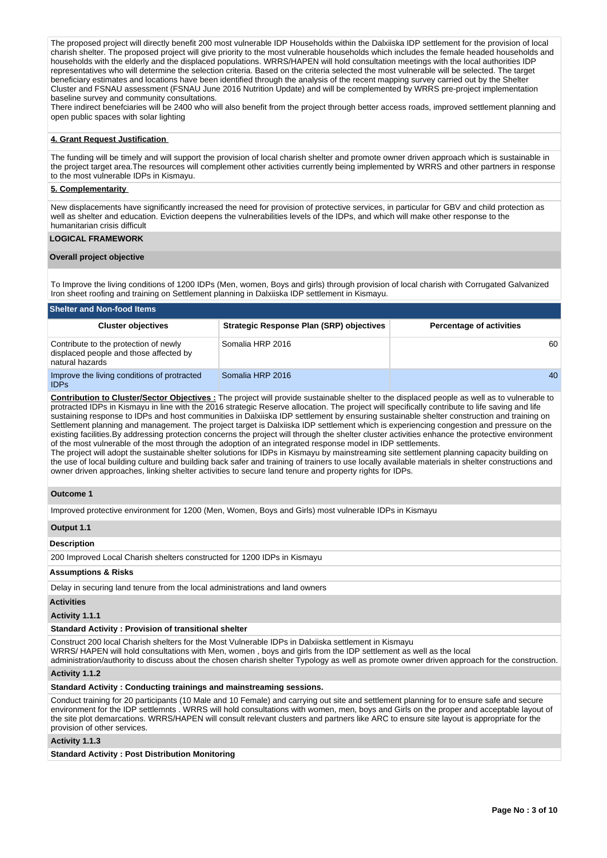The proposed project will directly benefit 200 most vulnerable IDP Households within the Dalxiiska IDP settlement for the provision of local charish shelter. The proposed project will give priority to the most vulnerable households which includes the female headed households and households with the elderly and the displaced populations. WRRS/HAPEN will hold consultation meetings with the local authorities IDP representatives who will determine the selection criteria. Based on the criteria selected the most vulnerable will be selected. The target beneficiary estimates and locations have been identified through the analysis of the recent mapping survey carried out by the Shelter Cluster and FSNAU assessment (FSNAU June 2016 Nutrition Update) and will be complemented by WRRS pre-project implementation baseline survey and community consultations.

There indirect benefciaries will be 2400 who will also benefit from the project through better access roads, improved settlement planning and open public spaces with solar lighting

### **4. Grant Request Justification**

The funding will be timely and will support the provision of local charish shelter and promote owner driven approach which is sustainable in the project target area.The resources will complement other activities currently being implemented by WRRS and other partners in response to the most vulnerable IDPs in Kismayu.

### **5. Complementarity**

New displacements have significantly increased the need for provision of protective services, in particular for GBV and child protection as well as shelter and education. Eviction deepens the vulnerabilities levels of the IDPs, and which will make other response to the humanitarian crisis difficult

## **LOGICAL FRAMEWORK**

### **Overall project objective**

To Improve the living conditions of 1200 IDPs (Men, women, Boys and girls) through provision of local charish with Corrugated Galvanized Iron sheet roofing and training on Settlement planning in Dalxiiska IDP settlement in Kismayu.

| <b>Shelter and Non-food Items</b>                                                                  |                                                 |                                 |  |  |  |  |  |  |  |
|----------------------------------------------------------------------------------------------------|-------------------------------------------------|---------------------------------|--|--|--|--|--|--|--|
| <b>Cluster objectives</b>                                                                          | <b>Strategic Response Plan (SRP) objectives</b> | <b>Percentage of activities</b> |  |  |  |  |  |  |  |
| Contribute to the protection of newly<br>displaced people and those affected by<br>natural hazards | Somalia HRP 2016                                | 60                              |  |  |  |  |  |  |  |
| Improve the living conditions of protracted<br><b>IDPs</b>                                         | Somalia HRP 2016                                | 40                              |  |  |  |  |  |  |  |

**Contribution to Cluster/Sector Objectives :** The project will provide sustainable shelter to the displaced people as well as to vulnerable to protracted IDPs in Kismayu in line with the 2016 strategic Reserve allocation. The project will specifically contribute to life saving and life sustaining response to IDPs and host communities in Dalxiiska IDP settlement by ensuring sustainable shelter construction and training on Settlement planning and management. The project target is Dalxiiska IDP settlement which is experiencing congestion and pressure on the existing facilities.By addressing protection concerns the project will through the shelter cluster activities enhance the protective environment of the most vulnerable of the most through the adoption of an integrated response model in IDP settlements.

The project will adopt the sustainable shelter solutions for IDPs in Kismayu by mainstreaming site settlement planning capacity building on the use of local building culture and building back safer and training of trainers to use locally available materials in shelter constructions and owner driven approaches, linking shelter activities to secure land tenure and property rights for IDPs.

### **Outcome 1**

Improved protective environment for 1200 (Men, Women, Boys and Girls) most vulnerable IDPs in Kismayu

### **Output 1.1**

### **Description**

200 Improved Local Charish shelters constructed for 1200 IDPs in Kismayu

## **Assumptions & Risks**

Delay in securing land tenure from the local administrations and land owners

## **Activities**

#### **Activity 1.1.1**

### **Standard Activity : Provision of transitional shelter**

Construct 200 local Charish shelters for the Most Vulnerable IDPs in Dalxiiska settlement in Kismayu

WRRS/ HAPEN will hold consultations with Men, women , boys and girls from the IDP settlement as well as the local

administration/authority to discuss about the chosen charish shelter Typology as well as promote owner driven approach for the construction.

# **Activity 1.1.2**

## **Standard Activity : Conducting trainings and mainstreaming sessions.**

Conduct training for 20 participants (10 Male and 10 Female) and carrying out site and settlement planning for to ensure safe and secure environment for the IDP settlemnts . WRRS will hold consultations with women, men, boys and Girls on the proper and acceptable layout of the site plot demarcations. WRRS/HAPEN will consult relevant clusters and partners like ARC to ensure site layout is appropriate for the provision of other services.

## **Activity 1.1.3**

**Standard Activity : Post Distribution Monitoring**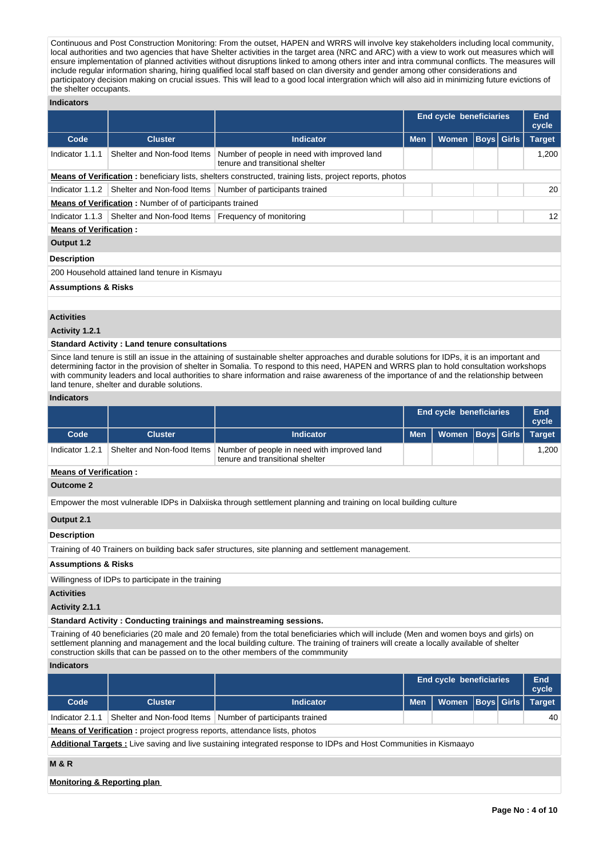Continuous and Post Construction Monitoring: From the outset, HAPEN and WRRS will involve key stakeholders including local community, local authorities and two agencies that have Shelter activities in the target area (NRC and ARC) with a view to work out measures which will ensure implementation of planned activities without disruptions linked to among others inter and intra communal conflicts. The measures will include regular information sharing, hiring qualified local staff based on clan diversity and gender among other considerations and participatory decision making on crucial issues. This will lead to a good local intergration which will also aid in minimizing future evictions of the shelter occupants.

### **Indicators**

|                                                                                |                                                                 |                                                                                                                | <b>End cycle beneficiaries</b> |              |  |             | End<br>cycle  |
|--------------------------------------------------------------------------------|-----------------------------------------------------------------|----------------------------------------------------------------------------------------------------------------|--------------------------------|--------------|--|-------------|---------------|
| Code                                                                           | <b>Cluster</b>                                                  | <b>Indicator</b>                                                                                               | <b>Men</b>                     | <b>Women</b> |  | Boys  Girls | <b>Target</b> |
| Indicator 1.1.1                                                                | Shelter and Non-food Items                                      | Number of people in need with improved land<br>tenure and transitional shelter                                 |                                |              |  |             | 1,200         |
|                                                                                |                                                                 | <b>Means of Verification:</b> beneficiary lists, shelters constructed, training lists, project reports, photos |                                |              |  |             |               |
| Shelter and Non-food Items   Number of participants trained<br>Indicator 1.1.2 |                                                                 |                                                                                                                |                                |              |  |             |               |
|                                                                                | <b>Means of Verification:</b> Number of of participants trained |                                                                                                                |                                |              |  |             |               |
| Indicator 1.1.3                                                                | Shelter and Non-food Items   Frequency of monitoring            |                                                                                                                |                                |              |  |             | 12            |
| <b>Means of Verification:</b>                                                  |                                                                 |                                                                                                                |                                |              |  |             |               |
| Output 1.2                                                                     |                                                                 |                                                                                                                |                                |              |  |             |               |
| <b>Description</b>                                                             |                                                                 |                                                                                                                |                                |              |  |             |               |
|                                                                                | 200 Household attained land tenure in Kismayu                   |                                                                                                                |                                |              |  |             |               |
| <b>Assumptions &amp; Risks</b>                                                 |                                                                 |                                                                                                                |                                |              |  |             |               |
|                                                                                |                                                                 |                                                                                                                |                                |              |  |             |               |

# **Activities**

## **Activity 1.2.1**

#### **Standard Activity : Land tenure consultations**

Since land tenure is still an issue in the attaining of sustainable shelter approaches and durable solutions for IDPs, it is an important and determining factor in the provision of shelter in Somalia. To respond to this need, HAPEN and WRRS plan to hold consultation workshops with community leaders and local authorities to share information and raise awareness of the importance of and the relationship between land tenure, shelter and durable solutions.

### **Indicators**

|                 |                               |                                                                                | <b>End cycle beneficiaries</b> |                      |  |  | End<br>cycle  |  |  |  |
|-----------------|-------------------------------|--------------------------------------------------------------------------------|--------------------------------|----------------------|--|--|---------------|--|--|--|
| Code            | <b>Cluster</b>                | <b>Indicator</b>                                                               | <b>Men</b>                     | Women   Boys   Girls |  |  | <b>Target</b> |  |  |  |
| Indicator 1.2.1 | Shelter and Non-food Items    | Number of people in need with improved land<br>tenure and transitional shelter |                                |                      |  |  | 1.200         |  |  |  |
|                 | <b>Means of Verification:</b> |                                                                                |                                |                      |  |  |               |  |  |  |

### **Outcome 2**

Empower the most vulnerable IDPs in Dalxiiska through settlement planning and training on local building culture

#### **Output 2.1**

### **Description**

Training of 40 Trainers on building back safer structures, site planning and settlement management.

## **Assumptions & Risks**

Willingness of IDPs to participate in the training

#### **Activities**

**Activity 2.1.1** 

#### **Standard Activity : Conducting trainings and mainstreaming sessions.**

Training of 40 beneficiaries (20 male and 20 female) from the total beneficiaries which will include (Men and women boys and girls) on settlement planning and management and the local building culture. The training of trainers will create a locally available of shelter construction skills that can be passed on to the other members of the commmunity

#### **Indicators**

|                 |         |                                                             |                                     | <b>End cycle beneficiaries</b> |  |    |  |  |
|-----------------|---------|-------------------------------------------------------------|-------------------------------------|--------------------------------|--|----|--|--|
| Code            | Cluster | <b>Indicator</b>                                            | Men   Women   Boys   Girls   Target |                                |  |    |  |  |
| Indicator 2.1.1 |         | Shelter and Non-food Items   Number of participants trained |                                     |                                |  | 40 |  |  |

**Means of Verification :** project progress reports, attendance lists, photos

**Additional Targets :** Live saving and live sustaining integrated response to IDPs and Host Communities in Kismaayo

## **M & R**

### **Monitoring & Reporting plan**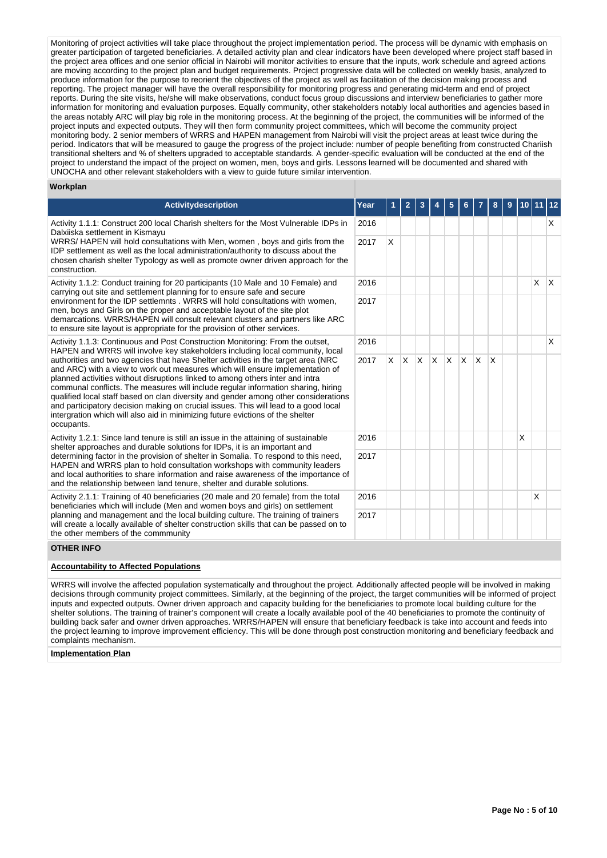Monitoring of project activities will take place throughout the project implementation period. The process will be dynamic with emphasis on greater participation of targeted beneficiaries. A detailed activity plan and clear indicators have been developed where project staff based in the project area offices and one senior official in Nairobi will monitor activities to ensure that the inputs, work schedule and agreed actions are moving according to the project plan and budget requirements. Project progressive data will be collected on weekly basis, analyzed to produce information for the purpose to reorient the objectives of the project as well as facilitation of the decision making process and reporting. The project manager will have the overall responsibility for monitoring progress and generating mid-term and end of project reports. During the site visits, he/she will make observations, conduct focus group discussions and interview beneficiaries to gather more information for monitoring and evaluation purposes. Equally community, other stakeholders notably local authorities and agencies based in the areas notably ARC will play big role in the monitoring process. At the beginning of the project, the communities will be informed of the project inputs and expected outputs. They will then form community project committees, which will become the community project monitoring body. 2 senior members of WRRS and HAPEN management from Nairobi will visit the project areas at least twice during the period. Indicators that will be measured to gauge the progress of the project include: number of people benefiting from constructed Chariish transitional shelters and % of shelters upgraded to acceptable standards. A gender-specific evaluation will be conducted at the end of the project to understand the impact of the project on women, men, boys and girls. Lessons learned will be documented and shared with UNOCHA and other relevant stakeholders with a view to guide future similar intervention.

### **Workplan**

| <b>Activitydescription</b>                                                                                                                                                                                                                                                                                                                                                                                                                                                                                                                                                                                             | Year |          | 2   | 3            |              | 5            |   |          | 8        | 9 | 10 <sub>1</sub> | 11 12        |              |
|------------------------------------------------------------------------------------------------------------------------------------------------------------------------------------------------------------------------------------------------------------------------------------------------------------------------------------------------------------------------------------------------------------------------------------------------------------------------------------------------------------------------------------------------------------------------------------------------------------------------|------|----------|-----|--------------|--------------|--------------|---|----------|----------|---|-----------------|--------------|--------------|
| 2016<br>Activity 1.1.1: Construct 200 local Charish shelters for the Most Vulnerable IDPs in<br>Dalxiiska settlement in Kismayu<br>WRRS/HAPEN will hold consultations with Men, women, boys and girls from the<br>2017<br>IDP settlement as well as the local administration/authority to discuss about the<br>chosen charish shelter Typology as well as promote owner driven approach for the<br>construction.                                                                                                                                                                                                       |      |          |     |              |              |              |   |          |          |   |                 |              | X            |
|                                                                                                                                                                                                                                                                                                                                                                                                                                                                                                                                                                                                                        |      | X        |     |              |              |              |   |          |          |   |                 |              |              |
| Activity 1.1.2: Conduct training for 20 participants (10 Male and 10 Female) and<br>carrying out site and settlement planning for to ensure safe and secure                                                                                                                                                                                                                                                                                                                                                                                                                                                            | 2016 |          |     |              |              |              |   |          |          |   |                 | $\mathsf{x}$ | $\mathsf{X}$ |
| environment for the IDP settlemnts . WRRS will hold consultations with women,<br>2017<br>men, boys and Girls on the proper and acceptable layout of the site plot<br>demarcations. WRRS/HAPEN will consult relevant clusters and partners like ARC<br>to ensure site layout is appropriate for the provision of other services.                                                                                                                                                                                                                                                                                        |      |          |     |              |              |              |   |          |          |   |                 |              |              |
| Activity 1.1.3: Continuous and Post Construction Monitoring: From the outset,<br>HAPEN and WRRS will involve key stakeholders including local community, local                                                                                                                                                                                                                                                                                                                                                                                                                                                         | 2016 |          |     |              |              |              |   |          |          |   |                 |              | X            |
| authorities and two agencies that have Shelter activities in the target area (NRC<br>and ARC) with a view to work out measures which will ensure implementation of<br>planned activities without disruptions linked to among others inter and intra<br>communal conflicts. The measures will include regular information sharing, hiring<br>qualified local staff based on clan diversity and gender among other considerations<br>and participatory decision making on crucial issues. This will lead to a good local<br>intergration which will also aid in minimizing future evictions of the shelter<br>occupants. | 2017 | $\times$ | ΙX. | $\mathsf{X}$ | $\mathsf{X}$ | $\mathsf{x}$ | X | <b>X</b> | <b>X</b> |   |                 |              |              |
| Activity 1.2.1: Since land tenure is still an issue in the attaining of sustainable<br>shelter approaches and durable solutions for IDPs, it is an important and                                                                                                                                                                                                                                                                                                                                                                                                                                                       | 2016 |          |     |              |              |              |   |          |          |   | X               |              |              |
| determining factor in the provision of shelter in Somalia. To respond to this need,<br>2017<br>HAPEN and WRRS plan to hold consultation workshops with community leaders<br>and local authorities to share information and raise awareness of the importance of<br>and the relationship between land tenure, shelter and durable solutions.                                                                                                                                                                                                                                                                            |      |          |     |              |              |              |   |          |          |   |                 |              |              |
| Activity 2.1.1: Training of 40 beneficiaries (20 male and 20 female) from the total<br>beneficiaries which will include (Men and women boys and girls) on settlement                                                                                                                                                                                                                                                                                                                                                                                                                                                   | 2016 |          |     |              |              |              |   |          |          |   |                 | X            |              |
| planning and management and the local building culture. The training of trainers<br>2017<br>will create a locally available of shelter construction skills that can be passed on to<br>the other members of the commmunity                                                                                                                                                                                                                                                                                                                                                                                             |      |          |     |              |              |              |   |          |          |   |                 |              |              |

#### **OTHER INFO**

### **Accountability to Affected Populations**

WRRS will involve the affected population systematically and throughout the project. Additionally affected people will be involved in making decisions through community project committees. Similarly, at the beginning of the project, the target communities will be informed of project inputs and expected outputs. Owner driven approach and capacity building for the beneficiaries to promote local building culture for the shelter solutions. The training of trainer's component will create a locally available pool of the 40 beneficiaries to promote the continuity of building back safer and owner driven approaches. WRRS/HAPEN will ensure that beneficiary feedback is take into account and feeds into the project learning to improve improvement efficiency. This will be done through post construction monitoring and beneficiary feedback and complaints mechanism.

#### **Implementation Plan**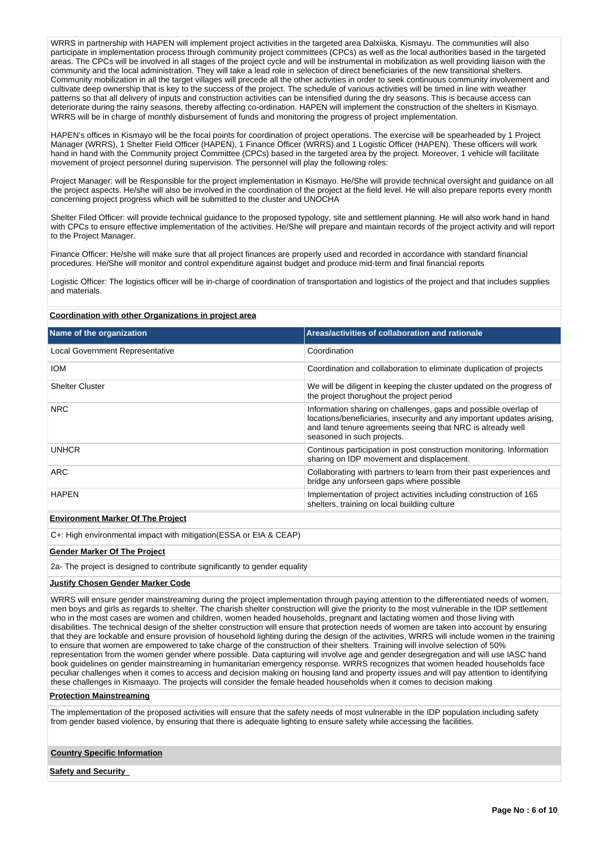WRRS in partnership with HAPEN will implement project activities in the targeted area Dalxiiska, Kismayu. The communities will also participate in implementation process through community project committees (CPCs) as well as the local authorities based in the targeted areas. The CPCs will be involved in all stages of the project cycle and will be instrumental in mobilization as well providing liaison with the community and the local administration. They will take a lead role in selection of direct beneficiaries of the new transitional shelters. Community mobilization in all the target villages will precede all the other activities in order to seek continuous community involvement and cultivate deep ownership that is key to the success of the project. The schedule of various activities will be timed in line with weather patterns so that all delivery of inputs and construction activities can be intensified during the dry seasons. This is because access can deteriorate during the rainy seasons, thereby affecting co-ordination. HAPEN will implement the construction of the shelters in Kismayo. WRRS will be in charge of monthly disbursement of funds and monitoring the progress of project implementation.

HAPEN's offices in Kismayo will be the focal points for coordination of project operations. The exercise will be spearheaded by 1 Project Manager (WRRS), 1 Shelter Field Officer (HAPEN), 1 Finance Officer (WRRS) and 1 Logistic Officer (HAPEN). These officers will work hand in hand with the Community project Committee (CPCs) based in the targeted area by the project. Moreover, 1 vehicle will facilitate movement of project personnel during supervision. The personnel will play the following roles:

Project Manager: will be Responsible for the project implementation in Kismayo. He/She will provide technical oversight and guidance on all the project aspects. He/she will also be involved in the coordination of the project at the field level. He will also prepare reports every month concerning project progress which will be submitted to the cluster and UNOCHA

Shelter Filed Officer: will provide technical guidance to the proposed typology, site and settlement planning. He will also work hand in hand with CPCs to ensure effective implementation of the activities. He/She will prepare and maintain records of the project activity and will report to the Project Manager.

Finance Officer: He/she will make sure that all project finances are properly used and recorded in accordance with standard financial procedures. He/She will monitor and control expenditure against budget and produce mid-term and final financial reports

Logistic Officer: The logistics officer will be in-charge of coordination of transportation and logistics of the project and that includes supplies and materials.

#### **Coordination with other Organizations in project area**

| Name of the organization                 | Areas/activities of collaboration and rationale                                                                                                                                                                                       |
|------------------------------------------|---------------------------------------------------------------------------------------------------------------------------------------------------------------------------------------------------------------------------------------|
| <b>Local Government Representative</b>   | Coordination                                                                                                                                                                                                                          |
| <b>IOM</b>                               | Coordination and collaboration to eliminate duplication of projects                                                                                                                                                                   |
| <b>Shelter Cluster</b>                   | We will be diligent in keeping the cluster updated on the progress of<br>the project thorughout the project period                                                                                                                    |
| <b>NRC</b>                               | Information sharing on challenges, gaps and possible overlap of<br>locations/beneficiaries, insecurity and any important updates arising,<br>and land tenure agreements seeing that NRC is already well<br>seasoned in such projects. |
| <b>UNHCR</b>                             | Continous participation in post construction monitoring. Information<br>sharing on IDP movement and displacement.                                                                                                                     |
| ARC                                      | Collaborating with partners to learn from their past experiences and<br>bridge any unforseen gaps where possible                                                                                                                      |
| <b>HAPEN</b>                             | Implementation of project activities including construction of 165<br>shelters, training on local building culture                                                                                                                    |
| <b>Environment Marker Of The Project</b> |                                                                                                                                                                                                                                       |

C+: High environmental impact with mitigation(ESSA or EIA & CEAP)

## **Gender Marker Of The Project**

2a- The project is designed to contribute significantly to gender equality

#### **Justify Chosen Gender Marker Code**

WRRS will ensure gender mainstreaming during the project implementation through paying attention to the differentiated needs of women, men boys and girls as regards to shelter. The charish shelter construction will give the priority to the most vulnerable in the IDP settlement who in the most cases are women and children, women headed households, pregnant and lactating women and those living with disabilities. The technical design of the shelter construction will ensure that protection needs of women are taken into account by ensuring that they are lockable and ensure provision of household lighting during the design of the activities, WRRS will include women in the training to ensure that women are empowered to take charge of the construction of their shelters. Training will involve selection of 50% representation from the women gender where possible. Data capturing will involve age and gender desegregation and will use IASC hand book guidelines on gender mainstreaming in humanitarian emergency response. WRRS recognizes that women headed households face peculiar challenges when it comes to access and decision making on housing land and property issues and will pay attention to identifying these challenges in Kismaayo. The projects will consider the female headed households when it comes to decision making

## **Protection Mainstreaming**

The implementation of the proposed activities will ensure that the safety needs of most vulnerable in the IDP population including safety from gender based violence, by ensuring that there is adequate lighting to ensure safety while accessing the facilities.

### **Country Specific Information**

**Safety and Security**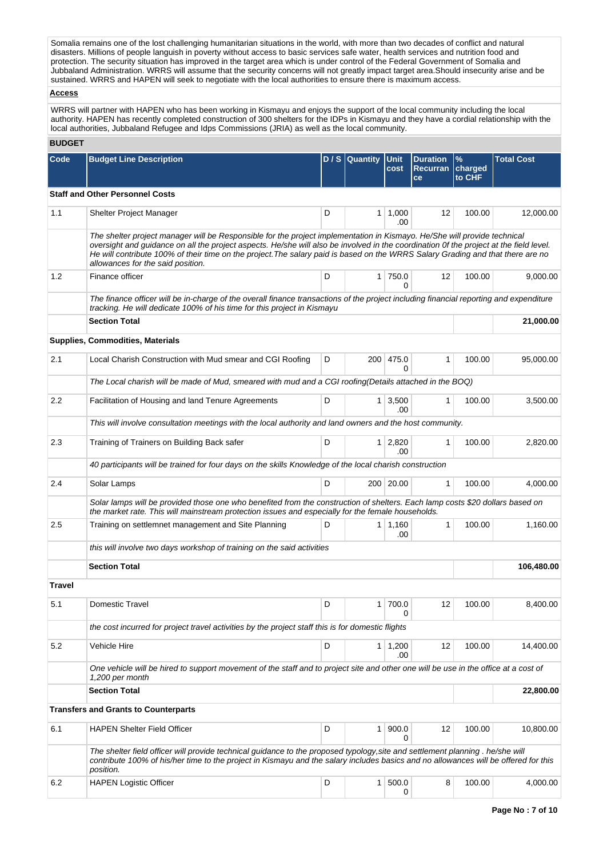Somalia remains one of the lost challenging humanitarian situations in the world, with more than two decades of conflict and natural disasters. Millions of people languish in poverty without access to basic services safe water, health services and nutrition food and protection. The security situation has improved in the target area which is under control of the Federal Government of Somalia and Jubbaland Administration. WRRS will assume that the security concerns will not greatly impact target area.Should insecurity arise and be sustained. WRRS and HAPEN will seek to negotiate with the local authorities to ensure there is maximum access.

## **Access**

WRRS will partner with HAPEN who has been working in Kismayu and enjoys the support of the local community including the local authority. HAPEN has recently completed construction of 300 shelters for the IDPs in Kismayu and they have a cordial relationship with the local authorities, Jubbaland Refugee and Idps Commissions (JRIA) as well as the local community.

## **BUDGET**

| Code          | <b>Budget Line Description</b>                                                                                                                                                                                                                                                                                                                                                                                                             |   | $D / S$ Quantity | Unit<br>cost          | <b>Duration</b><br><b>Recurran</b><br>ce | %<br>charged<br>to CHF | <b>Total Cost</b> |
|---------------|--------------------------------------------------------------------------------------------------------------------------------------------------------------------------------------------------------------------------------------------------------------------------------------------------------------------------------------------------------------------------------------------------------------------------------------------|---|------------------|-----------------------|------------------------------------------|------------------------|-------------------|
|               | <b>Staff and Other Personnel Costs</b>                                                                                                                                                                                                                                                                                                                                                                                                     |   |                  |                       |                                          |                        |                   |
| 1.1           | Shelter Project Manager                                                                                                                                                                                                                                                                                                                                                                                                                    | D |                  | 1   1,000<br>.00      | 12                                       | 100.00                 | 12,000.00         |
|               | The shelter project manager will be Responsible for the project implementation in Kismayo. He/She will provide technical<br>oversight and guidance on all the project aspects. He/she will also be involved in the coordination Of the project at the field level.<br>He will contribute 100% of their time on the project. The salary paid is based on the WRRS Salary Grading and that there are no<br>allowances for the said position. |   |                  |                       |                                          |                        |                   |
| 1.2           | Finance officer                                                                                                                                                                                                                                                                                                                                                                                                                            | D |                  | $1 \mid 750.0$<br>0   | 12                                       | 100.00                 | 9,000.00          |
|               | The finance officer will be in-charge of the overall finance transactions of the project including financial reporting and expenditure<br>tracking. He will dedicate 100% of his time for this project in Kismayu                                                                                                                                                                                                                          |   |                  |                       |                                          |                        |                   |
|               | <b>Section Total</b>                                                                                                                                                                                                                                                                                                                                                                                                                       |   |                  |                       |                                          |                        | 21,000.00         |
|               | Supplies, Commodities, Materials                                                                                                                                                                                                                                                                                                                                                                                                           |   |                  |                       |                                          |                        |                   |
| 2.1           | Local Charish Construction with Mud smear and CGI Roofing                                                                                                                                                                                                                                                                                                                                                                                  | D |                  | 200 475.0<br>0        | 1                                        | 100.00                 | 95,000.00         |
|               | The Local charish will be made of Mud, smeared with mud and a CGI roofing(Details attached in the BOQ)                                                                                                                                                                                                                                                                                                                                     |   |                  |                       |                                          |                        |                   |
| 2.2           | Facilitation of Housing and land Tenure Agreements                                                                                                                                                                                                                                                                                                                                                                                         | D |                  | $1 \mid 3,500$<br>.00 | 1                                        | 100.00                 | 3,500.00          |
|               | This will involve consultation meetings with the local authority and land owners and the host community.                                                                                                                                                                                                                                                                                                                                   |   |                  |                       |                                          |                        |                   |
| 2.3           | Training of Trainers on Building Back safer                                                                                                                                                                                                                                                                                                                                                                                                | D |                  | $1 \mid 2,820$<br>.00 | 1                                        | 100.00                 | 2,820.00          |
|               | 40 participants will be trained for four days on the skills Knowledge of the local charish construction                                                                                                                                                                                                                                                                                                                                    |   |                  |                       |                                          |                        |                   |
| 2.4           | Solar Lamps                                                                                                                                                                                                                                                                                                                                                                                                                                | D |                  | 200 20.00             | 1                                        | 100.00                 | 4,000.00          |
|               | Solar lamps will be provided those one who benefited from the construction of shelters. Each lamp costs \$20 dollars based on<br>the market rate. This will mainstream protection issues and especially for the female households.                                                                                                                                                                                                         |   |                  |                       |                                          |                        |                   |
| 2.5           | Training on settlemnet management and Site Planning                                                                                                                                                                                                                                                                                                                                                                                        | D |                  | $1 \mid 1,160$<br>.00 | $\mathbf{1}$                             | 100.00                 | 1,160.00          |
|               | this will involve two days workshop of training on the said activities                                                                                                                                                                                                                                                                                                                                                                     |   |                  |                       |                                          |                        |                   |
|               | <b>Section Total</b>                                                                                                                                                                                                                                                                                                                                                                                                                       |   |                  |                       |                                          |                        | 106,480.00        |
| <b>Travel</b> |                                                                                                                                                                                                                                                                                                                                                                                                                                            |   |                  |                       |                                          |                        |                   |
| 5.1           | Domestic Travel                                                                                                                                                                                                                                                                                                                                                                                                                            | D |                  | 1 700.0<br>0          | 12                                       | 100.00                 | 8,400.00          |
|               | the cost incurred for project travel activities by the project staff this is for domestic flights                                                                                                                                                                                                                                                                                                                                          |   |                  |                       |                                          |                        |                   |
| 5.2           | Vehicle Hire                                                                                                                                                                                                                                                                                                                                                                                                                               | D |                  | $1 \mid 1,200$<br>.00 | 12                                       | 100.00                 | 14,400.00         |
|               | One vehicle will be hired to support movement of the staff and to project site and other one will be use in the office at a cost of<br>1,200 per month                                                                                                                                                                                                                                                                                     |   |                  |                       |                                          |                        |                   |
|               | <b>Section Total</b>                                                                                                                                                                                                                                                                                                                                                                                                                       |   |                  |                       |                                          |                        | 22,800.00         |
|               | <b>Transfers and Grants to Counterparts</b>                                                                                                                                                                                                                                                                                                                                                                                                |   |                  |                       |                                          |                        |                   |
| 6.1           | <b>HAPEN Shelter Field Officer</b>                                                                                                                                                                                                                                                                                                                                                                                                         | D |                  | 1   900.0<br>0        | 12                                       | 100.00                 | 10,800.00         |
|               | The shelter field officer will provide technical guidance to the proposed typology, site and settlement planning. he/she will<br>contribute 100% of his/her time to the project in Kismayu and the salary includes basics and no allowances will be offered for this<br>position.                                                                                                                                                          |   |                  |                       |                                          |                        |                   |
| 6.2           | <b>HAPEN Logistic Officer</b>                                                                                                                                                                                                                                                                                                                                                                                                              | D |                  | 1   500.0<br>0        | 8                                        | 100.00                 | 4,000.00          |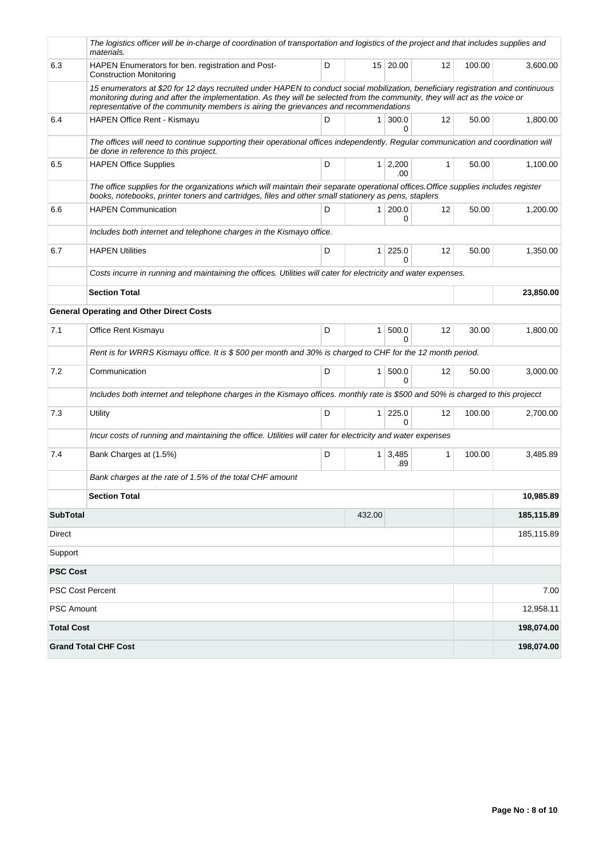|                   | The logistics officer will be in-charge of coordination of transportation and logistics of the project and that includes supplies and<br>materials.                                                                                                                                                                                                    |   |                |                       |              |        |            |
|-------------------|--------------------------------------------------------------------------------------------------------------------------------------------------------------------------------------------------------------------------------------------------------------------------------------------------------------------------------------------------------|---|----------------|-----------------------|--------------|--------|------------|
| 6.3               | HAPEN Enumerators for ben. registration and Post-<br><b>Construction Monitoring</b>                                                                                                                                                                                                                                                                    | D |                | 15 20.00              | 12           | 100.00 | 3,600.00   |
|                   | 15 enumerators at \$20 for 12 days recruited under HAPEN to conduct social mobilization, beneficiary registration and continuous<br>monitoring during and after the implementation. As they will be selected from the community, they will act as the voice or<br>representative of the community members is airing the grievances and recommendations |   |                |                       |              |        |            |
| 6.4               | HAPEN Office Rent - Kismayu                                                                                                                                                                                                                                                                                                                            | D |                | 1 300.0<br>0          | 12           | 50.00  | 1,800.00   |
|                   | The offices will need to continue supporting their operational offices independently. Regular communication and coordination will<br>be done in reference to this project.                                                                                                                                                                             |   |                |                       |              |        |            |
| 6.5               | <b>HAPEN Office Supplies</b>                                                                                                                                                                                                                                                                                                                           | D |                | 1 2,200<br>.00        | $\mathbf{1}$ | 50.00  | 1,100.00   |
|                   | The office supplies for the organizations which will maintain their separate operational offices. Office supplies includes register<br>books, notebooks, printer toners and cartridges, files and other small stationery as pens, staplers                                                                                                             |   |                |                       |              |        |            |
| 6.6               | <b>HAPEN Communication</b>                                                                                                                                                                                                                                                                                                                             | D |                | $1 \, 200.0$<br>0     | 12           | 50.00  | 1,200.00   |
|                   | Includes both internet and telephone charges in the Kismayo office.                                                                                                                                                                                                                                                                                    |   |                |                       |              |        |            |
| 6.7               | <b>HAPEN Utilities</b>                                                                                                                                                                                                                                                                                                                                 | D | 1 <sup>1</sup> | 225.0<br>0            | 12           | 50.00  | 1,350.00   |
|                   | Costs incurre in running and maintaining the offices. Utilities will cater for electricity and water expenses.                                                                                                                                                                                                                                         |   |                |                       |              |        |            |
|                   | <b>Section Total</b>                                                                                                                                                                                                                                                                                                                                   |   |                |                       |              |        | 23,850.00  |
|                   | <b>General Operating and Other Direct Costs</b>                                                                                                                                                                                                                                                                                                        |   |                |                       |              |        |            |
| 7.1               | Office Rent Kismayu                                                                                                                                                                                                                                                                                                                                    | D | 1 <sup>1</sup> | 500.0<br>$\Omega$     | 12           | 30.00  | 1,800.00   |
|                   | Rent is for WRRS Kismayu office. It is \$500 per month and 30% is charged to CHF for the 12 month period.                                                                                                                                                                                                                                              |   |                |                       |              |        |            |
| 7.2               | Communication                                                                                                                                                                                                                                                                                                                                          | D |                | 1 500.0<br>$\Omega$   | 12           | 50.00  | 3,000.00   |
|                   | Includes both internet and telephone charges in the Kismayo offices. monthly rate is \$500 and 50% is charged to this projecct                                                                                                                                                                                                                         |   |                |                       |              |        |            |
| 7.3               | Utility                                                                                                                                                                                                                                                                                                                                                | D |                | $1 \mid 225.0$<br>0   | 12           | 100.00 | 2,700.00   |
|                   | Incur costs of running and maintaining the office. Utilities will cater for electricity and water expenses                                                                                                                                                                                                                                             |   |                |                       |              |        |            |
| 7.4               | Bank Charges at (1.5%)                                                                                                                                                                                                                                                                                                                                 | D |                | $1 \mid 3,485$<br>.89 | 1            | 100.00 | 3,485.89   |
|                   | Bank charges at the rate of 1.5% of the total CHF amount                                                                                                                                                                                                                                                                                               |   |                |                       |              |        |            |
|                   | <b>Section Total</b>                                                                                                                                                                                                                                                                                                                                   |   |                |                       |              |        | 10,985.89  |
| <b>SubTotal</b>   |                                                                                                                                                                                                                                                                                                                                                        |   | 432.00         |                       |              |        | 185,115.89 |
| Direct            |                                                                                                                                                                                                                                                                                                                                                        |   |                |                       |              |        | 185,115.89 |
| Support           |                                                                                                                                                                                                                                                                                                                                                        |   |                |                       |              |        |            |
| <b>PSC Cost</b>   |                                                                                                                                                                                                                                                                                                                                                        |   |                |                       |              |        |            |
|                   | <b>PSC Cost Percent</b>                                                                                                                                                                                                                                                                                                                                |   |                |                       |              |        | 7.00       |
| <b>PSC Amount</b> |                                                                                                                                                                                                                                                                                                                                                        |   |                |                       |              |        | 12,958.11  |
| <b>Total Cost</b> |                                                                                                                                                                                                                                                                                                                                                        |   |                |                       |              |        | 198,074.00 |
|                   | <b>Grand Total CHF Cost</b>                                                                                                                                                                                                                                                                                                                            |   |                |                       |              |        | 198,074.00 |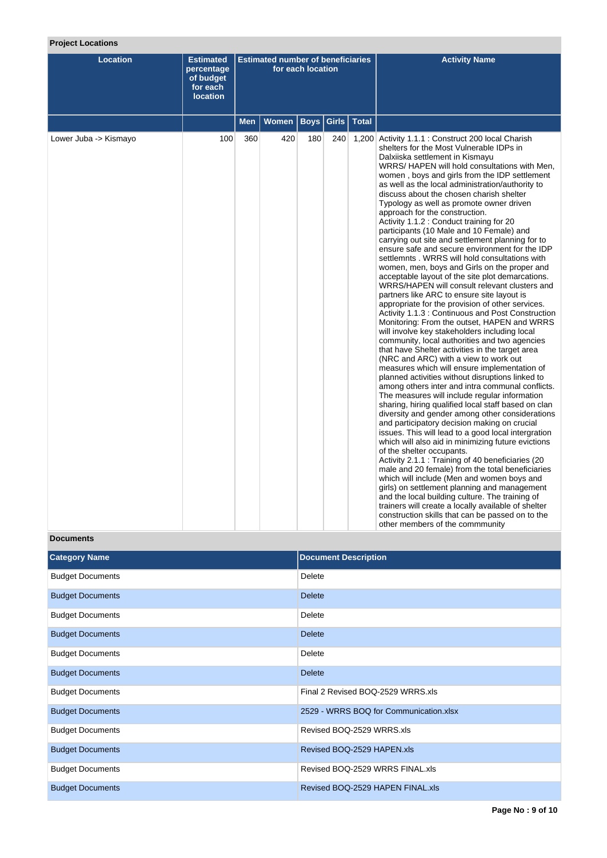# **Project Locations**

| <b>Location</b>       | <b>Estimated</b><br>percentage<br>of budget<br>for each<br><b>location</b> | <b>Estimated number of beneficiaries</b><br>for each location |                              |     |     | <b>Activity Name</b>                                                                                                                                                                                                                                                                                                                                                                                                                                                                                                                                                                                                                                                                                                                                                                                                                                                                                                                                                                                                                                                                                                                                                                                                                                                                                                                                                                                                                                                                                                                                                                                                                                                                                                                                                                                                                                                                                                                                                                                                                                                                                                                          |
|-----------------------|----------------------------------------------------------------------------|---------------------------------------------------------------|------------------------------|-----|-----|-----------------------------------------------------------------------------------------------------------------------------------------------------------------------------------------------------------------------------------------------------------------------------------------------------------------------------------------------------------------------------------------------------------------------------------------------------------------------------------------------------------------------------------------------------------------------------------------------------------------------------------------------------------------------------------------------------------------------------------------------------------------------------------------------------------------------------------------------------------------------------------------------------------------------------------------------------------------------------------------------------------------------------------------------------------------------------------------------------------------------------------------------------------------------------------------------------------------------------------------------------------------------------------------------------------------------------------------------------------------------------------------------------------------------------------------------------------------------------------------------------------------------------------------------------------------------------------------------------------------------------------------------------------------------------------------------------------------------------------------------------------------------------------------------------------------------------------------------------------------------------------------------------------------------------------------------------------------------------------------------------------------------------------------------------------------------------------------------------------------------------------------------|
|                       |                                                                            | <b>Men</b>                                                    | Women   Boys   Girls   Total |     |     |                                                                                                                                                                                                                                                                                                                                                                                                                                                                                                                                                                                                                                                                                                                                                                                                                                                                                                                                                                                                                                                                                                                                                                                                                                                                                                                                                                                                                                                                                                                                                                                                                                                                                                                                                                                                                                                                                                                                                                                                                                                                                                                                               |
| Lower Juba -> Kismayo | 100                                                                        | 360                                                           | 420                          | 180 | 240 | 1,200 Activity 1.1.1 : Construct 200 local Charish<br>shelters for the Most Vulnerable IDPs in<br>Dalxiiska settlement in Kismayu<br>WRRS/HAPEN will hold consultations with Men,<br>women, boys and girls from the IDP settlement<br>as well as the local administration/authority to<br>discuss about the chosen charish shelter<br>Typology as well as promote owner driven<br>approach for the construction.<br>Activity 1.1.2 : Conduct training for 20<br>participants (10 Male and 10 Female) and<br>carrying out site and settlement planning for to<br>ensure safe and secure environment for the IDP<br>settlemnts, WRRS will hold consultations with<br>women, men, boys and Girls on the proper and<br>acceptable layout of the site plot demarcations.<br>WRRS/HAPEN will consult relevant clusters and<br>partners like ARC to ensure site layout is<br>appropriate for the provision of other services.<br>Activity 1.1.3 : Continuous and Post Construction<br>Monitoring: From the outset, HAPEN and WRRS<br>will involve key stakeholders including local<br>community, local authorities and two agencies<br>that have Shelter activities in the target area<br>(NRC and ARC) with a view to work out<br>measures which will ensure implementation of<br>planned activities without disruptions linked to<br>among others inter and intra communal conflicts.<br>The measures will include regular information<br>sharing, hiring qualified local staff based on clan<br>diversity and gender among other considerations<br>and participatory decision making on crucial<br>issues. This will lead to a good local intergration<br>which will also aid in minimizing future evictions<br>of the shelter occupants.<br>Activity 2.1.1 : Training of 40 beneficiaries (20<br>male and 20 female) from the total beneficiaries<br>which will include (Men and women boys and<br>girls) on settlement planning and management<br>and the local building culture. The training of<br>trainers will create a locally available of shelter<br>construction skills that can be passed on to the<br>other members of the commmunity |

## **Documents**

| <b>Category Name</b>    | <b>Document Description</b>            |
|-------------------------|----------------------------------------|
| <b>Budget Documents</b> | Delete                                 |
| <b>Budget Documents</b> | <b>Delete</b>                          |
| <b>Budget Documents</b> | Delete                                 |
| <b>Budget Documents</b> | <b>Delete</b>                          |
| <b>Budget Documents</b> | <b>Delete</b>                          |
| <b>Budget Documents</b> | <b>Delete</b>                          |
| <b>Budget Documents</b> | Final 2 Revised BOQ-2529 WRRS.xls      |
| <b>Budget Documents</b> | 2529 - WRRS BOQ for Communication.xlsx |
| <b>Budget Documents</b> | Revised BOQ-2529 WRRS.xls              |
| <b>Budget Documents</b> | Revised BOQ-2529 HAPEN.xls             |
| <b>Budget Documents</b> | Revised BOQ-2529 WRRS FINAL.xls        |
| <b>Budget Documents</b> | Revised BOQ-2529 HAPEN FINAL.xls       |